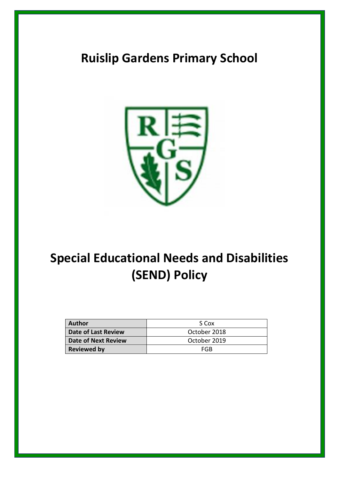## **Ruislip Gardens Primary School**



# **Special Educational Needs and Disabilities (SEND) Policy**

| Author              | S Cox        |
|---------------------|--------------|
| Date of Last Review | October 2018 |
| Date of Next Review | October 2019 |
| <b>Reviewed by</b>  | FGB          |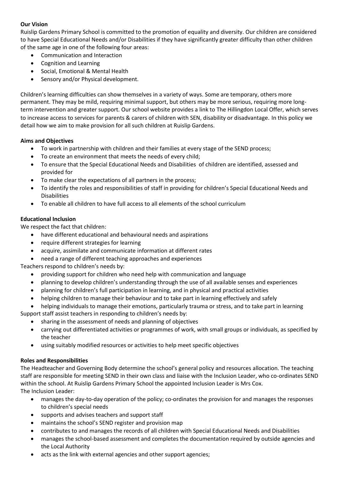## **Our Vision**

Ruislip Gardens Primary School is committed to the promotion of equality and diversity. Our children are considered to have Special Educational Needs and/or Disabilities if they have significantly greater difficulty than other children of the same age in one of the following four areas:

- Communication and Interaction
- Cognition and Learning
- Social, Emotional & Mental Health
- Sensory and/or Physical development.

Children's learning difficulties can show themselves in a variety of ways. Some are temporary, others more permanent. They may be mild, requiring minimal support, but others may be more serious, requiring more longterm intervention and greater support. Our school website provides a link to The Hillingdon Local Offer, which serves to increase access to services for parents & carers of children with SEN, disability or disadvantage. In this policy we detail how we aim to make provision for all such children at Ruislip Gardens.

## **Aims and Objectives**

- To work in partnership with children and their families at every stage of the SEND process;
- To create an environment that meets the needs of every child;
- To ensure that the Special Educational Needs and Disabilities of children are identified, assessed and provided for
- To make clear the expectations of all partners in the process;
- To identify the roles and responsibilities of staff in providing for children's Special Educational Needs and Disabilities
- To enable all children to have full access to all elements of the school curriculum

## **Educational Inclusion**

We respect the fact that children:

- have different educational and behavioural needs and aspirations
- require different strategies for learning
- acquire, assimilate and communicate information at different rates
- need a range of different teaching approaches and experiences

Teachers respond to children's needs by:

- providing support for children who need help with communication and language
- planning to develop children's understanding through the use of all available senses and experiences
- planning for children's full participation in learning, and in physical and practical activities
- helping children to manage their behaviour and to take part in learning effectively and safely
- helping individuals to manage their emotions, particularly trauma or stress, and to take part in learning Support staff assist teachers in responding to children's needs by:
	- sharing in the assessment of needs and planning of objectives
	- carrying out differentiated activities or programmes of work, with small groups or individuals, as specified by the teacher
	- using suitably modified resources or activities to help meet specific objectives

## **Roles and Responsibilities**

The Headteacher and Governing Body determine the school's general policy and resources allocation. The teaching staff are responsible for meeting SEND in their own class and liaise with the Inclusion Leader, who co-ordinates SEND within the school. At Ruislip Gardens Primary School the appointed Inclusion Leader is Mrs Cox. The Inclusion Leader:

- manages the day-to-day operation of the policy; co-ordinates the provision for and manages the responses to children's special needs
- supports and advises teachers and support staff
- maintains the school's SEND register and provision map
- contributes to and manages the records of all children with Special Educational Needs and Disabilities
- manages the school-based assessment and completes the documentation required by outside agencies and the Local Authority
- acts as the link with external agencies and other support agencies;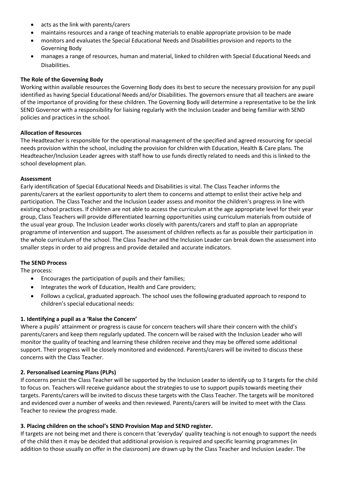- acts as the link with parents/carers
- maintains resources and a range of teaching materials to enable appropriate provision to be made
- monitors and evaluates the Special Educational Needs and Disabilities provision and reports to the Governing Body
- manages a range of resources, human and material, linked to children with Special Educational Needs and Disabilities.

#### **The Role of the Governing Body**

Working within available resources the Governing Body does its best to secure the necessary provision for any pupil identified as having Special Educational Needs and/or Disabilities. The governors ensure that all teachers are aware of the importance of providing for these children. The Governing Body will determine a representative to be the link SEND Governor with a responsibility for liaising regularly with the Inclusion Leader and being familiar with SEND policies and practices in the school.

#### **Allocation of Resources**

The Headteacher is responsible for the operational management of the specified and agreed resourcing for special needs provision within the school, including the provision for children with Education, Health & Care plans. The Headteacher/Inclusion Leader agrees with staff how to use funds directly related to needs and this is linked to the school development plan.

#### **Assessment**

Early identification of Special Educational Needs and Disabilities is vital. The Class Teacher informs the parents/carers at the earliest opportunity to alert them to concerns and attempt to enlist their active help and participation. The Class Teacher and the Inclusion Leader assess and monitor the children's progress in line with existing school practices. If children are not able to access the curriculum at the age appropriate level for their year group, Class Teachers will provide differentiated learning opportunities using curriculum materials from outside of the usual year group. The Inclusion Leader works closely with parents/carers and staff to plan an appropriate programme of intervention and support. The assessment of children reflects as far as possible their participation in the whole curriculum of the school. The Class Teacher and the Inclusion Leader can break down the assessment into smaller steps in order to aid progress and provide detailed and accurate indicators.

#### **The SEND Process**

The process:

- Encourages the participation of pupils and their families;
- Integrates the work of Education, Health and Care providers;
- Follows a cyclical, graduated approach. The school uses the following graduated approach to respond to children's special educational needs:

## **1. Identifying a pupil as a 'Raise the Concern'**

Where a pupils' attainment or progress is cause for concern teachers will share their concern with the child's parents/carers and keep them regularly updated. The concern will be raised with the Inclusion Leader who will monitor the quality of teaching and learning these children receive and they may be offered some additional support. Their progress will be closely monitored and evidenced. Parents/carers will be invited to discuss these concerns with the Class Teacher.

## **2. Personalised Learning Plans (PLPs)**

If concerns persist the Class Teacher will be supported by the Inclusion Leader to identify up to 3 targets for the child to focus on. Teachers will receive guidance about the strategies to use to support pupils towards meeting their targets. Parents/carers will be invited to discuss these targets with the Class Teacher. The targets will be monitored and evidenced over a number of weeks and then reviewed. Parents/carers will be invited to meet with the Class Teacher to review the progress made.

## **3. Placing children on the school's SEND Provision Map and SEND register.**

If targets are not being met and there is concern that 'everyday' quality teaching is not enough to support the needs of the child then it may be decided that additional provision is required and specific learning programmes (in addition to those usually on offer in the classroom) are drawn up by the Class Teacher and Inclusion Leader. The